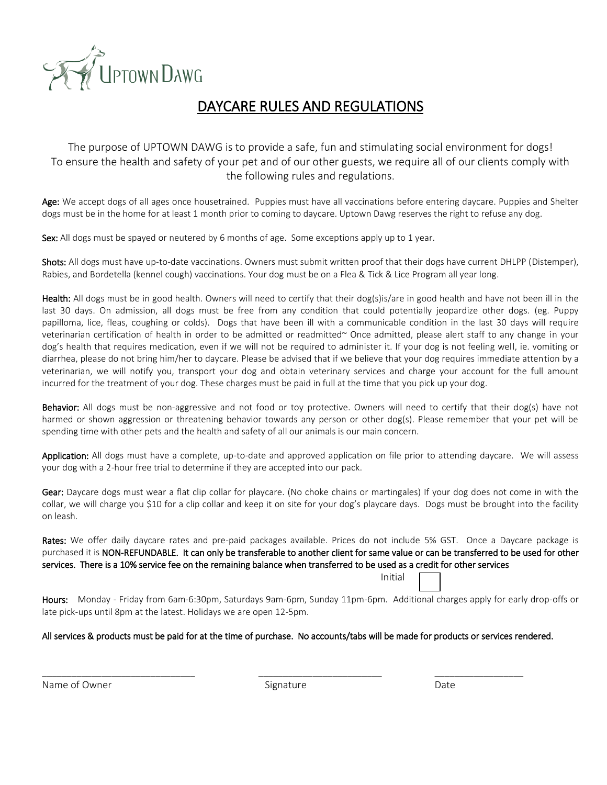

## DAYCARE RULES AND REGULATIONS

The purpose of UPTOWN DAWG is to provide a safe, fun and stimulating social environment for dogs! To ensure the health and safety of your pet and of our other guests, we require all of our clients comply with the following rules and regulations.

Age: We accept dogs of all ages once housetrained. Puppies must have all vaccinations before entering daycare. Puppies and Shelter dogs must be in the home for at least 1 month prior to coming to daycare. Uptown Dawg reserves the right to refuse any dog.

Sex: All dogs must be spayed or neutered by 6 months of age. Some exceptions apply up to 1 year.

Shots: All dogs must have up-to-date vaccinations. Owners must submit written proof that their dogs have current DHLPP (Distemper), Rabies, and Bordetella (kennel cough) vaccinations. Your dog must be on a Flea & Tick & Lice Program all year long.

Health: All dogs must be in good health. Owners will need to certify that their dog(s)is/are in good health and have not been ill in the last 30 days. On admission, all dogs must be free from any condition that could potentially jeopardize other dogs. (eg. Puppy papilloma, lice, fleas, coughing or colds). Dogs that have been ill with a communicable condition in the last 30 days will require veterinarian certification of health in order to be admitted or readmitted~ Once admitted, please alert staff to any change in your dog's health that requires medication, even if we will not be required to administer it. If your dog is not feeling well, ie. vomiting or diarrhea, please do not bring him/her to daycare. Please be advised that if we believe that your dog requires immediate attention by a veterinarian, we will notify you, transport your dog and obtain veterinary services and charge your account for the full amount incurred for the treatment of your dog. These charges must be paid in full at the time that you pick up your dog.

Behavior: All dogs must be non-aggressive and not food or toy protective. Owners will need to certify that their dog(s) have not harmed or shown aggression or threatening behavior towards any person or other dog(s). Please remember that your pet will be spending time with other pets and the health and safety of all our animals is our main concern.

Application: All dogs must have a complete, up-to-date and approved application on file prior to attending daycare. We will assess your dog with a 2-hour free trial to determine if they are accepted into our pack.

Gear: Daycare dogs must wear a flat clip collar for playcare. (No choke chains or martingales) If your dog does not come in with the collar, we will charge you \$10 for a clip collar and keep it on site for your dog's playcare days. Dogs must be brought into the facility on leash.

Rates: We offer daily daycare rates and pre-paid packages available. Prices do not include 5% GST. Once a Daycare package is purchased it is NON-REFUNDABLE. It can only be transferable to another client for same value or can be transferred to be used for other services. There is a 10% service fee on the remaining balance when transferred to be used as a credit for other services <u>Initial and the contract of the contract of the contract of the contract of the contract of the contract of the con</u>

Hours: Monday - Friday from 6am-6:30pm, Saturdays 9am-6pm, Sunday 11pm-6pm. Additional charges apply for early drop-offs or late pick-ups until 8pm at the latest. Holidays we are open 12-5pm.

#### All services & products must be paid for at the time of purchase. No accounts/tabs will be made for products or services rendered.

Name of Owner The Communication of Communications of Communications of Communications of Communications of Communications of Communications of Communications of Communications of Communications of Communications of Communi

\_\_\_\_\_\_\_\_\_\_\_\_\_\_\_\_\_\_\_\_\_\_\_\_\_\_\_\_\_\_\_ \_\_\_\_\_\_\_\_\_\_\_\_\_\_\_\_\_\_\_\_\_\_\_\_\_ \_\_\_\_\_\_\_\_\_\_\_\_\_\_\_\_\_\_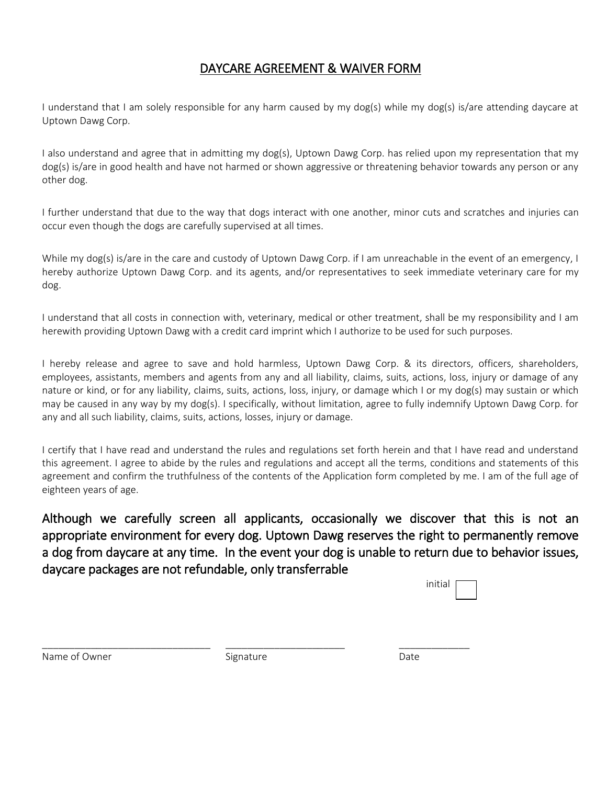### DAYCARE AGREEMENT & WAIVER FORM

I understand that I am solely responsible for any harm caused by my dog(s) while my dog(s) is/are attending daycare at Uptown Dawg Corp.

I also understand and agree that in admitting my dog(s), Uptown Dawg Corp. has relied upon my representation that my dog(s) is/are in good health and have not harmed or shown aggressive or threatening behavior towards any person or any other dog.

I further understand that due to the way that dogs interact with one another, minor cuts and scratches and injuries can occur even though the dogs are carefully supervised at all times.

While my dog(s) is/are in the care and custody of Uptown Dawg Corp. if I am unreachable in the event of an emergency, I hereby authorize Uptown Dawg Corp. and its agents, and/or representatives to seek immediate veterinary care for my dog.

I understand that all costs in connection with, veterinary, medical or other treatment, shall be my responsibility and I am herewith providing Uptown Dawg with a credit card imprint which I authorize to be used for such purposes.

I hereby release and agree to save and hold harmless, Uptown Dawg Corp. & its directors, officers, shareholders, employees, assistants, members and agents from any and all liability, claims, suits, actions, loss, injury or damage of any nature or kind, or for any liability, claims, suits, actions, loss, injury, or damage which I or my dog(s) may sustain or which may be caused in any way by my dog(s). I specifically, without limitation, agree to fully indemnify Uptown Dawg Corp. for any and all such liability, claims, suits, actions, losses, injury or damage.

I certify that I have read and understand the rules and regulations set forth herein and that I have read and understand this agreement. I agree to abide by the rules and regulations and accept all the terms, conditions and statements of this agreement and confirm the truthfulness of the contents of the Application form completed by me. I am of the full age of eighteen years of age.

Although we carefully screen all applicants, occasionally we discover that this is not an appropriate environment for every dog. Uptown Dawg reserves the right to permanently remove a dog from daycare at any time. In the event your dog is unable to return due to behavior issues, daycare packages are not refundable, only transferrable

| initial |  |
|---------|--|
|         |  |

Name of Owner The Communication of Communications of Communications of Communications of Communications of Communications of Communications of Communications of Communications of Communications of Communications of Communi

\_\_\_\_\_\_\_\_\_\_\_\_\_\_\_\_\_\_\_\_\_\_\_\_\_\_\_\_\_\_\_ \_\_\_\_\_\_\_\_\_\_\_\_\_\_\_\_\_\_\_\_\_\_ \_\_\_\_\_\_\_\_\_\_\_\_\_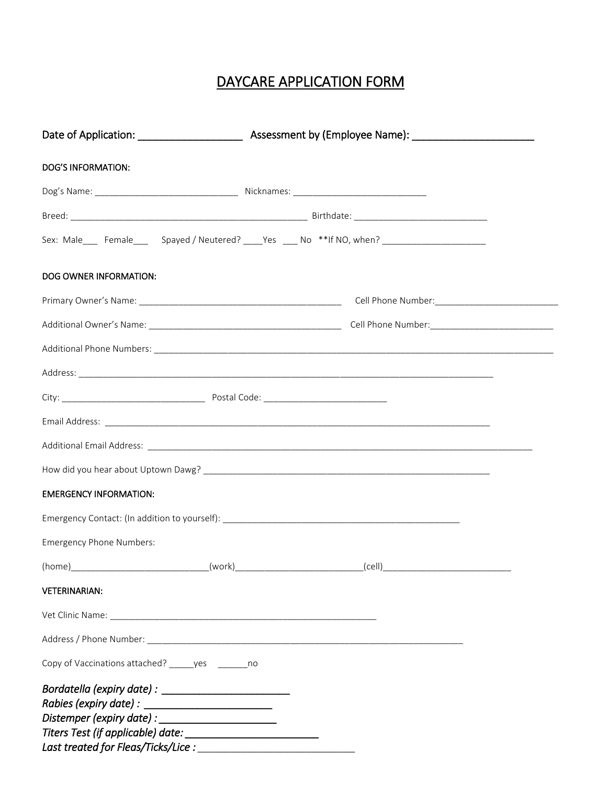# DAYCARE APPLICATION FORM

| <b>DOG'S INFORMATION:</b>                             |                                                                                                     |
|-------------------------------------------------------|-----------------------------------------------------------------------------------------------------|
|                                                       |                                                                                                     |
|                                                       |                                                                                                     |
|                                                       | Sex: Male____ Female_____ Spayed / Neutered? ____Yes ____ No **If NO, when? _______________________ |
| DOG OWNER INFORMATION:                                |                                                                                                     |
|                                                       |                                                                                                     |
|                                                       |                                                                                                     |
|                                                       |                                                                                                     |
|                                                       |                                                                                                     |
|                                                       |                                                                                                     |
|                                                       |                                                                                                     |
|                                                       |                                                                                                     |
|                                                       |                                                                                                     |
| <b>EMERGENCY INFORMATION:</b>                         |                                                                                                     |
|                                                       |                                                                                                     |
| Emergency Phone Numbers:                              |                                                                                                     |
|                                                       | _(cell)__                                                                                           |
| <b>VETERINARIAN:</b>                                  |                                                                                                     |
|                                                       |                                                                                                     |
|                                                       |                                                                                                     |
| Copy of Vaccinations attached? ______ yes ________ no |                                                                                                     |
|                                                       |                                                                                                     |
| Last treated for Fleas/Ticks/Lice :                   |                                                                                                     |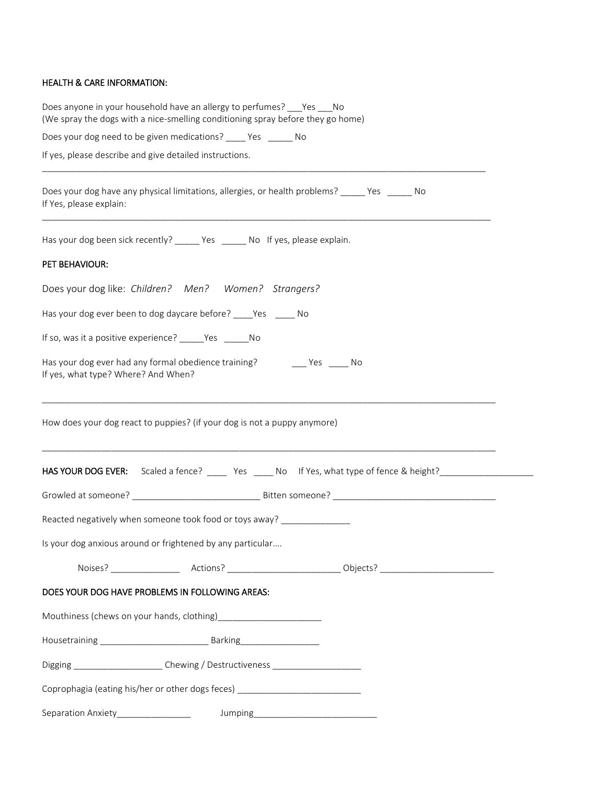#### HEALTH & CARE INFORMATION:

| Does anyone in your household have an allergy to perfumes? Yes No<br>(We spray the dogs with a nice-smelling conditioning spray before they go home)                                                                                  |
|---------------------------------------------------------------------------------------------------------------------------------------------------------------------------------------------------------------------------------------|
| Does your dog need to be given medications? ____ Yes _____ No                                                                                                                                                                         |
| If yes, please describe and give detailed instructions.                                                                                                                                                                               |
| Does your dog have any physical limitations, allergies, or health problems? _____ Yes ______ No<br>If Yes, please explain:                                                                                                            |
| Has your dog been sick recently? _____ Yes _____ No If yes, please explain.                                                                                                                                                           |
| PET BEHAVIOUR:                                                                                                                                                                                                                        |
| Does your dog like: Children? Men? Women? Strangers?                                                                                                                                                                                  |
| Has your dog ever been to dog daycare before? _____ Yes ______ No                                                                                                                                                                     |
| If so, was it a positive experience? ______Yes _______No                                                                                                                                                                              |
| Has your dog ever had any formal obedience training? The Mestrangle Mo<br>If yes, what type? Where? And When?<br><u> 1989 - John Stone, Amerikaans van die Berger van die Stone van die Stone van die Stone van die Stone van die</u> |
| How does your dog react to puppies? (if your dog is not a puppy anymore)                                                                                                                                                              |
| HAS YOUR DOG EVER: Scaled a fence? ______ Yes _____ No If Yes, what type of fence & height?___________________                                                                                                                        |
|                                                                                                                                                                                                                                       |
| Reacted negatively when someone took food or toys away? _______________                                                                                                                                                               |
| Is your dog anxious around or frightened by any particular                                                                                                                                                                            |
|                                                                                                                                                                                                                                       |
| DOES YOUR DOG HAVE PROBLEMS IN FOLLOWING AREAS:                                                                                                                                                                                       |
|                                                                                                                                                                                                                                       |
|                                                                                                                                                                                                                                       |
| Digging _______________________Chewing / Destructiveness _______________________                                                                                                                                                      |
| Coprophagia (eating his/her or other dogs feces) _______________________________                                                                                                                                                      |
| Separation Anxiety_________________                                                                                                                                                                                                   |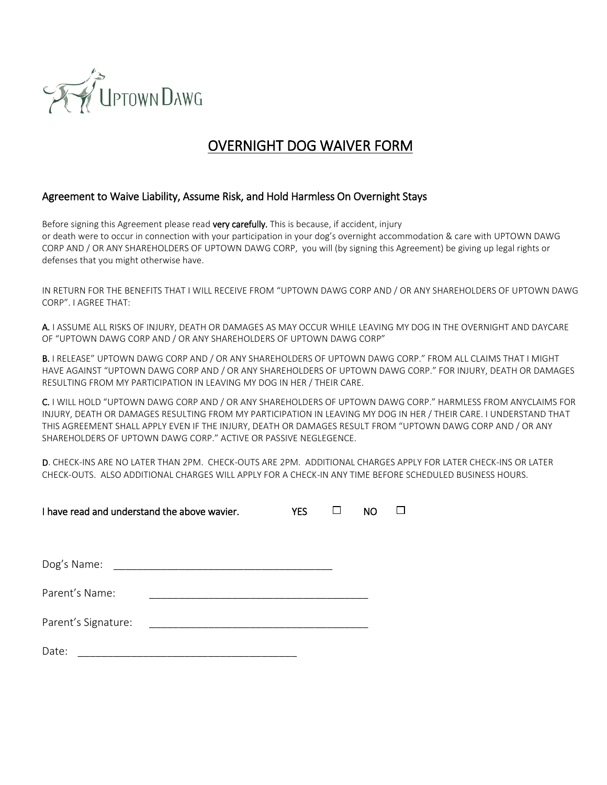

# OVERNIGHT DOG WAIVER FORM

#### Agreement to Waive Liability, Assume Risk, and Hold Harmless On Overnight Stays

Before signing this Agreement please read very carefully. This is because, if accident, injury or death were to occur in connection with your participation in your dog's overnight accommodation & care with UPTOWN DAWG CORP AND / OR ANY SHAREHOLDERS OF UPTOWN DAWG CORP, you will (by signing this Agreement) be giving up legal rights or defenses that you might otherwise have.

IN RETURN FOR THE BENEFITS THAT I WILL RECEIVE FROM "UPTOWN DAWG CORP AND / OR ANY SHAREHOLDERS OF UPTOWN DAWG CORP". I AGREE THAT:

A. I ASSUME ALL RISKS OF INJURY, DEATH OR DAMAGES AS MAY OCCUR WHILE LEAVING MY DOG IN THE OVERNIGHT AND DAYCARE OF "UPTOWN DAWG CORP AND / OR ANY SHAREHOLDERS OF UPTOWN DAWG CORP"

B. I RELEASE" UPTOWN DAWG CORP AND / OR ANY SHAREHOLDERS OF UPTOWN DAWG CORP." FROM ALL CLAIMS THAT I MIGHT HAVE AGAINST "UPTOWN DAWG CORP AND / OR ANY SHAREHOLDERS OF UPTOWN DAWG CORP." FOR INJURY, DEATH OR DAMAGES RESULTING FROM MY PARTICIPATION IN LEAVING MY DOG IN HER / THEIR CARE.

C. I WILL HOLD "UPTOWN DAWG CORP AND / OR ANY SHAREHOLDERS OF UPTOWN DAWG CORP." HARMLESS FROM ANYCLAIMS FOR INJURY, DEATH OR DAMAGES RESULTING FROM MY PARTICIPATION IN LEAVING MY DOG IN HER / THEIR CARE. I UNDERSTAND THAT THIS AGREEMENT SHALL APPLY EVEN IF THE INJURY, DEATH OR DAMAGES RESULT FROM "UPTOWN DAWG CORP AND / OR ANY SHAREHOLDERS OF UPTOWN DAWG CORP." ACTIVE OR PASSIVE NEGLEGENCE.

D. CHECK-INS ARE NO LATER THAN 2PM. CHECK-OUTS ARE 2PM. ADDITIONAL CHARGES APPLY FOR LATER CHECK-INS OR LATER CHECK-OUTS. ALSO ADDITIONAL CHARGES WILL APPLY FOR A CHECK-IN ANY TIME BEFORE SCHEDULED BUSINESS HOURS.

| I have read and understand the above wavier. | <b>YES</b> | NO |  |  |
|----------------------------------------------|------------|----|--|--|
|                                              |            |    |  |  |
| Dog's Name:                                  |            |    |  |  |
| Parent's Name:                               |            |    |  |  |
| Parent's Signature:                          |            |    |  |  |
| Date:                                        |            |    |  |  |